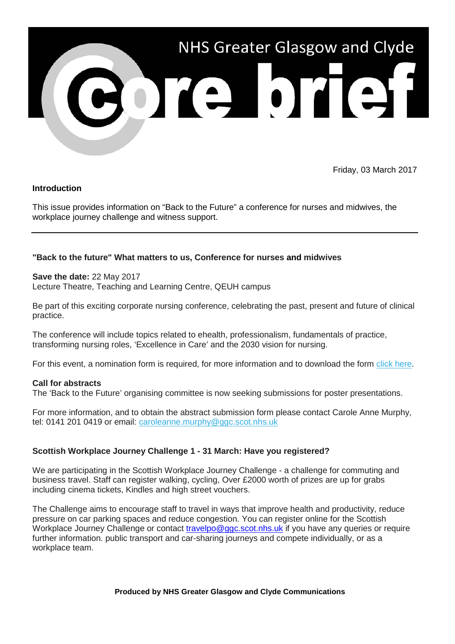

Friday, 03 March 2017

## **Introduction**

This issue provides information on "Back to the Future" a conference for nurses and midwives, the workplace journey challenge and witness support.

## **"Back to the future" What matters to us, Conference for nurses and midwives**

#### **Save the date:** 22 May 2017

Lecture Theatre, Teaching and Learning Centre, QEUH campus

Be part of this exciting corporate nursing conference, celebrating the past, present and future of clinical practice.

The conference will include topics related to ehealth, professionalism, fundamentals of practice, transforming nursing roles, 'Excellence in Care' and the 2030 vision for nursing.

For this event, a nomination form is required, for more information and to download the form [click here.](http://nhsggc.us12.list-manage2.com/track/click?u=0f385b5aea37eaf0213bd19fb&id=d606e79402&e=5af5e1832c)

#### **Call for abstracts**

The 'Back to the Future' organising committee is now seeking submissions for poster presentations.

For more information, and to obtain the abstract submission form please contact Carole Anne Murphy, tel: 0141 201 0419 or email: [caroleanne.murphy@ggc.scot.nhs.uk](mailto:caroleanne.murphy@ggc.scot.nhs.uk?subject=%22Back%20to%20the%20Future%22%20conference)

#### **Scottish Workplace Journey Challenge 1 - 31 March: Have you registered?**

We are participating in the Scottish Workplace Journey Challenge - a challenge for commuting and business travel. Staff can register walking, cycling, Over £2000 worth of prizes are up for grabs including cinema tickets, Kindles and high street vouchers.

The Challenge aims to encourage staff to travel in ways that improve health and productivity, reduce pressure on car parking spaces and reduce congestion. You can register online for the Scottish Workplace Journey Challenge or contact [travelpo@ggc.scot.nhs.uk](mailto:travelpo@ggc.scot.nhs.uk) if you have any queries or require further information. public transport and car-sharing journeys and compete individually, or as a workplace team.